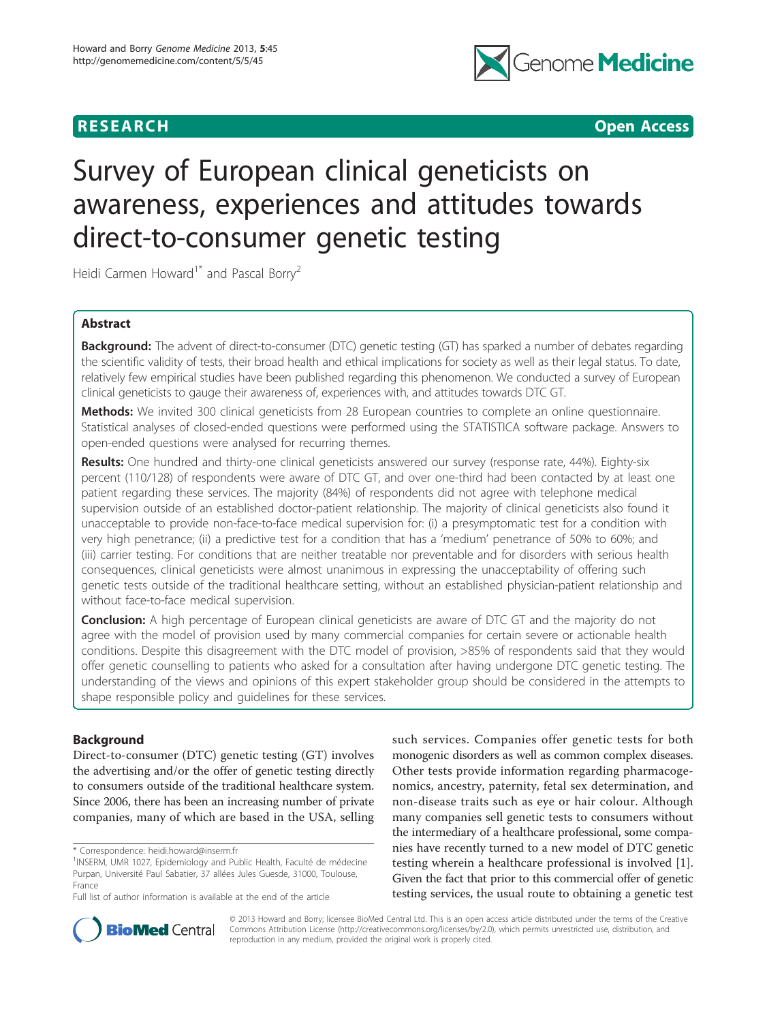

**RESEARCH CONTROL** CONTROL CONTROL CONTROL CONTROL CONTROL CONTROL CONTROL CONTROL CONTROL CONTROL CONTROL CONTROL CONTROL CONTROL CONTROL CONTROL CONTROL CONTROL CONTROL CONTROL CONTROL CONTROL CONTROL CONTROL CONTROL CON

# Survey of European clinical geneticists on awareness, experiences and attitudes towards direct-to-consumer genetic testing

Heidi Carmen Howard<sup>1\*</sup> and Pascal Borry<sup>2</sup>

# Abstract

Background: The advent of direct-to-consumer (DTC) genetic testing (GT) has sparked a number of debates regarding the scientific validity of tests, their broad health and ethical implications for society as well as their legal status. To date, relatively few empirical studies have been published regarding this phenomenon. We conducted a survey of European clinical geneticists to gauge their awareness of, experiences with, and attitudes towards DTC GT.

Methods: We invited 300 clinical geneticists from 28 European countries to complete an online questionnaire. Statistical analyses of closed-ended questions were performed using the STATISTICA software package. Answers to open-ended questions were analysed for recurring themes.

Results: One hundred and thirty-one clinical geneticists answered our survey (response rate, 44%). Eighty-six percent (110/128) of respondents were aware of DTC GT, and over one-third had been contacted by at least one patient regarding these services. The majority (84%) of respondents did not agree with telephone medical supervision outside of an established doctor-patient relationship. The majority of clinical geneticists also found it unacceptable to provide non-face-to-face medical supervision for: (i) a presymptomatic test for a condition with very high penetrance; (ii) a predictive test for a condition that has a 'medium' penetrance of 50% to 60%; and (iii) carrier testing. For conditions that are neither treatable nor preventable and for disorders with serious health consequences, clinical geneticists were almost unanimous in expressing the unacceptability of offering such genetic tests outside of the traditional healthcare setting, without an established physician-patient relationship and without face-to-face medical supervision.

**Conclusion:** A high percentage of European clinical geneticists are aware of DTC GT and the majority do not agree with the model of provision used by many commercial companies for certain severe or actionable health conditions. Despite this disagreement with the DTC model of provision, >85% of respondents said that they would offer genetic counselling to patients who asked for a consultation after having undergone DTC genetic testing. The understanding of the views and opinions of this expert stakeholder group should be considered in the attempts to shape responsible policy and guidelines for these services.

# Background

Direct-to-consumer (DTC) genetic testing (GT) involves the advertising and/or the offer of genetic testing directly to consumers outside of the traditional healthcare system. Since 2006, there has been an increasing number of private companies, many of which are based in the USA, selling

\* Correspondence: [heidi.howard@inserm.fr](mailto:heidi.howard@inserm.fr)

such services. Companies offer genetic tests for both monogenic disorders as well as common complex diseases. Other tests provide information regarding pharmacogenomics, ancestry, paternity, fetal sex determination, and non-disease traits such as eye or hair colour. Although many companies sell genetic tests to consumers without the intermediary of a healthcare professional, some companies have recently turned to a new model of DTC genetic testing wherein a healthcare professional is involved [\[1](#page-9-0)]. Given the fact that prior to this commercial offer of genetic testing services, the usual route to obtaining a genetic test



© 2013 Howard and Borry; licensee BioMed Central Ltd. This is an open access article distributed under the terms of the Creative Commons Attribution License [\(http://creativecommons.org/licenses/by/2.0](http://creativecommons.org/licenses/by/2.0)), which permits unrestricted use, distribution, and reproduction in any medium, provided the original work is properly cited.

<sup>&</sup>lt;sup>1</sup>INSERM, UMR 1027, Epidemiology and Public Health, Faculté de médecine Purpan, Université Paul Sabatier, 37 allées Jules Guesde, 31000, Toulouse, France

Full list of author information is available at the end of the article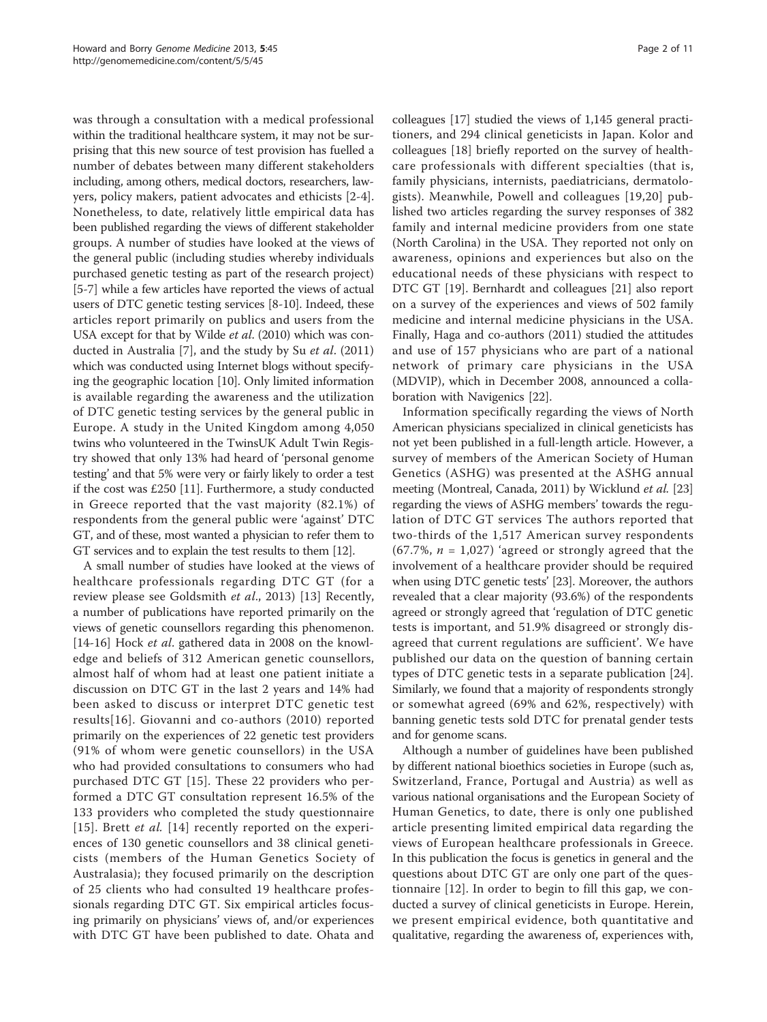was through a consultation with a medical professional within the traditional healthcare system, it may not be surprising that this new source of test provision has fuelled a number of debates between many different stakeholders including, among others, medical doctors, researchers, lawyers, policy makers, patient advocates and ethicists [[2-4](#page-9-0)]. Nonetheless, to date, relatively little empirical data has been published regarding the views of different stakeholder groups. A number of studies have looked at the views of the general public (including studies whereby individuals purchased genetic testing as part of the research project) [[5-7\]](#page-9-0) while a few articles have reported the views of actual users of DTC genetic testing services [\[8](#page-9-0)-[10](#page-9-0)]. Indeed, these articles report primarily on publics and users from the USA except for that by Wilde et al. (2010) which was conducted in Australia [\[7](#page-9-0)], and the study by Su et al. (2011) which was conducted using Internet blogs without specifying the geographic location [[10\]](#page-9-0). Only limited information is available regarding the awareness and the utilization of DTC genetic testing services by the general public in Europe. A study in the United Kingdom among 4,050 twins who volunteered in the TwinsUK Adult Twin Registry showed that only 13% had heard of 'personal genome testing' and that 5% were very or fairly likely to order a test if the cost was £250 [[11](#page-9-0)]. Furthermore, a study conducted in Greece reported that the vast majority (82.1%) of respondents from the general public were 'against' DTC GT, and of these, most wanted a physician to refer them to GT services and to explain the test results to them [\[12\]](#page-9-0).

A small number of studies have looked at the views of healthcare professionals regarding DTC GT (for a review please see Goldsmith et al., 2013) [\[13](#page-9-0)] Recently, a number of publications have reported primarily on the views of genetic counsellors regarding this phenomenon. [[14-16\]](#page-9-0) Hock et al. gathered data in 2008 on the knowledge and beliefs of 312 American genetic counsellors, almost half of whom had at least one patient initiate a discussion on DTC GT in the last 2 years and 14% had been asked to discuss or interpret DTC genetic test results[[16](#page-9-0)]. Giovanni and co-authors (2010) reported primarily on the experiences of 22 genetic test providers (91% of whom were genetic counsellors) in the USA who had provided consultations to consumers who had purchased DTC GT [[15](#page-9-0)]. These 22 providers who performed a DTC GT consultation represent 16.5% of the 133 providers who completed the study questionnaire [[15](#page-9-0)]. Brett *et al.* [[14\]](#page-9-0) recently reported on the experiences of 130 genetic counsellors and 38 clinical geneticists (members of the Human Genetics Society of Australasia); they focused primarily on the description of 25 clients who had consulted 19 healthcare professionals regarding DTC GT. Six empirical articles focusing primarily on physicians' views of, and/or experiences with DTC GT have been published to date. Ohata and colleagues [[17](#page-9-0)] studied the views of 1,145 general practitioners, and 294 clinical geneticists in Japan. Kolor and colleagues [\[18](#page-9-0)] briefly reported on the survey of healthcare professionals with different specialties (that is, family physicians, internists, paediatricians, dermatologists). Meanwhile, Powell and colleagues [[19,20\]](#page-9-0) published two articles regarding the survey responses of 382 family and internal medicine providers from one state (North Carolina) in the USA. They reported not only on awareness, opinions and experiences but also on the educational needs of these physicians with respect to DTC GT [[19](#page-9-0)]. Bernhardt and colleagues [[21\]](#page-9-0) also report on a survey of the experiences and views of 502 family medicine and internal medicine physicians in the USA. Finally, Haga and co-authors (2011) studied the attitudes and use of 157 physicians who are part of a national network of primary care physicians in the USA (MDVIP), which in December 2008, announced a collaboration with Navigenics [[22](#page-9-0)].

Information specifically regarding the views of North American physicians specialized in clinical geneticists has not yet been published in a full-length article. However, a survey of members of the American Society of Human Genetics (ASHG) was presented at the ASHG annual meeting (Montreal, Canada, 2011) by Wicklund *et al.* [[23](#page-9-0)] regarding the views of ASHG members' towards the regulation of DTC GT services The authors reported that two-thirds of the 1,517 American survey respondents  $(67.7\%, n = 1.027)$  'agreed or strongly agreed that the involvement of a healthcare provider should be required when using DTC genetic tests' [\[23\]](#page-9-0). Moreover, the authors revealed that a clear majority (93.6%) of the respondents agreed or strongly agreed that 'regulation of DTC genetic tests is important, and 51.9% disagreed or strongly disagreed that current regulations are sufficient'. We have published our data on the question of banning certain types of DTC genetic tests in a separate publication [\[24](#page-9-0)]. Similarly, we found that a majority of respondents strongly or somewhat agreed (69% and 62%, respectively) with banning genetic tests sold DTC for prenatal gender tests and for genome scans.

Although a number of guidelines have been published by different national bioethics societies in Europe (such as, Switzerland, France, Portugal and Austria) as well as various national organisations and the European Society of Human Genetics, to date, there is only one published article presenting limited empirical data regarding the views of European healthcare professionals in Greece. In this publication the focus is genetics in general and the questions about DTC GT are only one part of the questionnaire [[12\]](#page-9-0). In order to begin to fill this gap, we conducted a survey of clinical geneticists in Europe. Herein, we present empirical evidence, both quantitative and qualitative, regarding the awareness of, experiences with,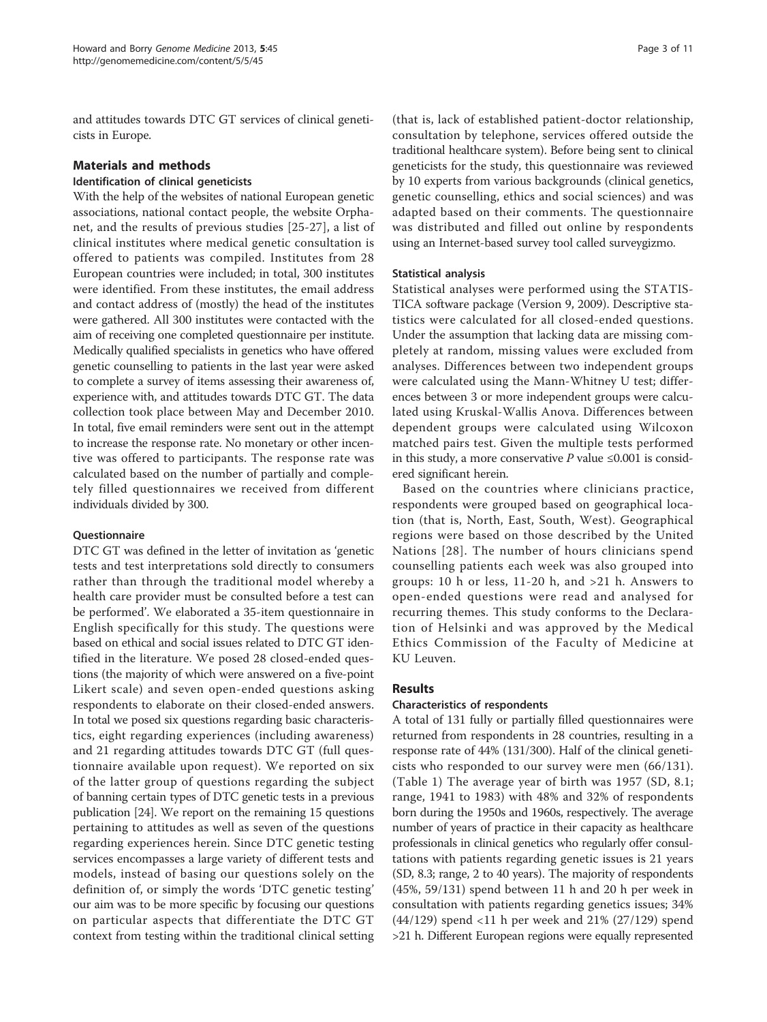and attitudes towards DTC GT services of clinical geneticists in Europe.

# Materials and methods

# Identification of clinical geneticists

With the help of the websites of national European genetic associations, national contact people, the website Orphanet, and the results of previous studies [[25-](#page-9-0)[27\]](#page-10-0), a list of clinical institutes where medical genetic consultation is offered to patients was compiled. Institutes from 28 European countries were included; in total, 300 institutes were identified. From these institutes, the email address and contact address of (mostly) the head of the institutes were gathered. All 300 institutes were contacted with the aim of receiving one completed questionnaire per institute. Medically qualified specialists in genetics who have offered genetic counselling to patients in the last year were asked to complete a survey of items assessing their awareness of, experience with, and attitudes towards DTC GT. The data collection took place between May and December 2010. In total, five email reminders were sent out in the attempt to increase the response rate. No monetary or other incentive was offered to participants. The response rate was calculated based on the number of partially and completely filled questionnaires we received from different individuals divided by 300.

# Questionnaire

DTC GT was defined in the letter of invitation as 'genetic tests and test interpretations sold directly to consumers rather than through the traditional model whereby a health care provider must be consulted before a test can be performed'. We elaborated a 35-item questionnaire in English specifically for this study. The questions were based on ethical and social issues related to DTC GT identified in the literature. We posed 28 closed-ended questions (the majority of which were answered on a five-point Likert scale) and seven open-ended questions asking respondents to elaborate on their closed-ended answers. In total we posed six questions regarding basic characteristics, eight regarding experiences (including awareness) and 21 regarding attitudes towards DTC GT (full questionnaire available upon request). We reported on six of the latter group of questions regarding the subject of banning certain types of DTC genetic tests in a previous publication [\[24\]](#page-9-0). We report on the remaining 15 questions pertaining to attitudes as well as seven of the questions regarding experiences herein. Since DTC genetic testing services encompasses a large variety of different tests and models, instead of basing our questions solely on the definition of, or simply the words 'DTC genetic testing' our aim was to be more specific by focusing our questions on particular aspects that differentiate the DTC GT context from testing within the traditional clinical setting

(that is, lack of established patient-doctor relationship, consultation by telephone, services offered outside the traditional healthcare system). Before being sent to clinical geneticists for the study, this questionnaire was reviewed by 10 experts from various backgrounds (clinical genetics, genetic counselling, ethics and social sciences) and was adapted based on their comments. The questionnaire was distributed and filled out online by respondents using an Internet-based survey tool called surveygizmo.

# Statistical analysis

Statistical analyses were performed using the STATIS-TICA software package (Version 9, 2009). Descriptive statistics were calculated for all closed-ended questions. Under the assumption that lacking data are missing completely at random, missing values were excluded from analyses. Differences between two independent groups were calculated using the Mann-Whitney U test; differences between 3 or more independent groups were calculated using Kruskal-Wallis Anova. Differences between dependent groups were calculated using Wilcoxon matched pairs test. Given the multiple tests performed in this study, a more conservative P value  $\leq 0.001$  is considered significant herein.

Based on the countries where clinicians practice, respondents were grouped based on geographical location (that is, North, East, South, West). Geographical regions were based on those described by the United Nations [[28](#page-10-0)]. The number of hours clinicians spend counselling patients each week was also grouped into groups: 10 h or less, 11-20 h, and >21 h. Answers to open-ended questions were read and analysed for recurring themes. This study conforms to the Declaration of Helsinki and was approved by the Medical Ethics Commission of the Faculty of Medicine at KU Leuven.

# Results

# Characteristics of respondents

A total of 131 fully or partially filled questionnaires were returned from respondents in 28 countries, resulting in a response rate of 44% (131/300). Half of the clinical geneticists who responded to our survey were men (66/131). (Table [1\)](#page-3-0) The average year of birth was 1957 (SD, 8.1; range, 1941 to 1983) with 48% and 32% of respondents born during the 1950s and 1960s, respectively. The average number of years of practice in their capacity as healthcare professionals in clinical genetics who regularly offer consultations with patients regarding genetic issues is 21 years (SD, 8.3; range, 2 to 40 years). The majority of respondents (45%, 59/131) spend between 11 h and 20 h per week in consultation with patients regarding genetics issues; 34% (44/129) spend <11 h per week and 21% (27/129) spend >21 h. Different European regions were equally represented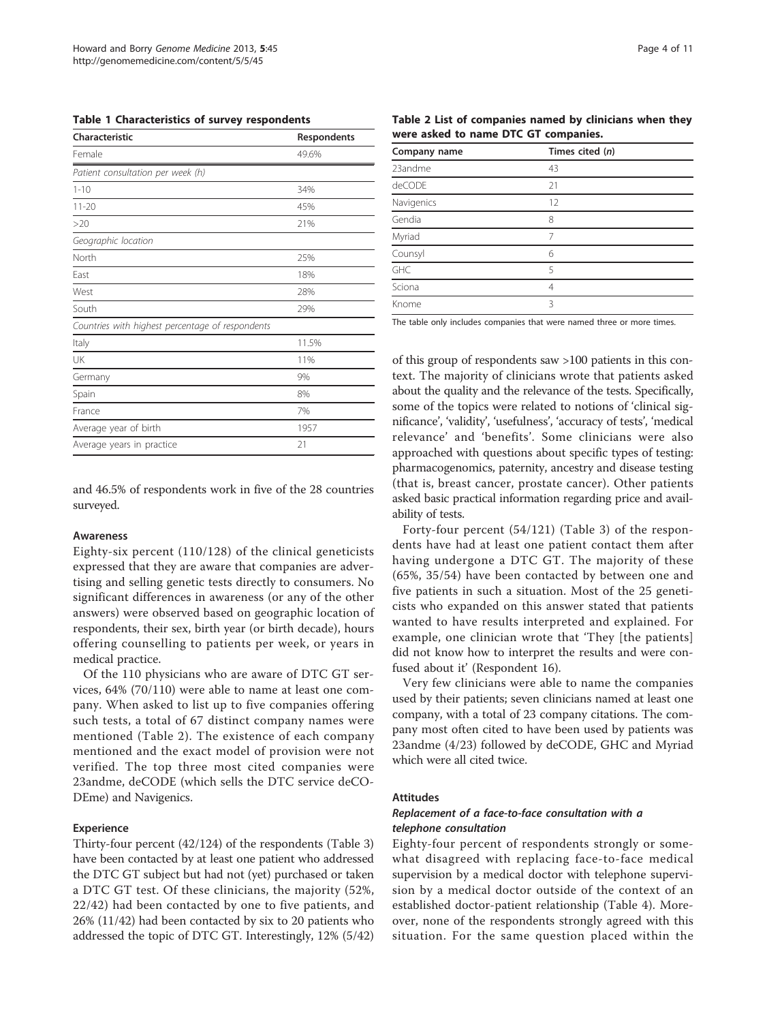<span id="page-3-0"></span>Table 1 Characteristics of survey respondents

| Characteristic                                   | Respondents |
|--------------------------------------------------|-------------|
| Female                                           | 49.6%       |
| Patient consultation per week (h)                |             |
| $1 - 10$                                         | 34%         |
| $11 - 20$                                        | 45%         |
| >20                                              | 21%         |
| Geographic location                              |             |
| North                                            | 25%         |
| Fast                                             | 18%         |
| West                                             | 28%         |
| South                                            | 29%         |
| Countries with highest percentage of respondents |             |
| Italy                                            | 11.5%       |
| UK                                               | 11%         |
| Germany                                          | 9%          |
| Spain                                            | 8%          |
| France                                           | 7%          |
| Average year of birth                            | 1957        |
| Average years in practice                        | 21          |
|                                                  |             |

and 46.5% of respondents work in five of the 28 countries surveyed.

#### Awareness

Eighty-six percent (110/128) of the clinical geneticists expressed that they are aware that companies are advertising and selling genetic tests directly to consumers. No significant differences in awareness (or any of the other answers) were observed based on geographic location of respondents, their sex, birth year (or birth decade), hours offering counselling to patients per week, or years in medical practice.

Of the 110 physicians who are aware of DTC GT services, 64% (70/110) were able to name at least one company. When asked to list up to five companies offering such tests, a total of 67 distinct company names were mentioned (Table 2). The existence of each company mentioned and the exact model of provision were not verified. The top three most cited companies were 23andme, deCODE (which sells the DTC service deCO-DEme) and Navigenics.

#### Experience

Thirty-four percent (42/124) of the respondents (Table [3](#page-4-0)) have been contacted by at least one patient who addressed the DTC GT subject but had not (yet) purchased or taken a DTC GT test. Of these clinicians, the majority (52%, 22/42) had been contacted by one to five patients, and 26% (11/42) had been contacted by six to 20 patients who addressed the topic of DTC GT. Interestingly, 12% (5/42)

Table 2 List of companies named by clinicians when they were asked to name DTC GT companies.

| Company name | Times cited (n) |  |
|--------------|-----------------|--|
| 23andme      | 43              |  |
| deCODE       | 21              |  |
| Navigenics   | 12              |  |
| Gendia       | 8               |  |
| Myriad       | 7               |  |
| Counsyl      | 6               |  |
| GHC          | 5               |  |
| Sciona       | 4               |  |
| Knome        | ξ               |  |

The table only includes companies that were named three or more times.

of this group of respondents saw >100 patients in this context. The majority of clinicians wrote that patients asked about the quality and the relevance of the tests. Specifically, some of the topics were related to notions of 'clinical significance', 'validity', 'usefulness', 'accuracy of tests', 'medical relevance' and 'benefits'. Some clinicians were also approached with questions about specific types of testing: pharmacogenomics, paternity, ancestry and disease testing (that is, breast cancer, prostate cancer). Other patients asked basic practical information regarding price and availability of tests.

Forty-four percent (54/121) (Table [3\)](#page-4-0) of the respondents have had at least one patient contact them after having undergone a DTC GT. The majority of these (65%, 35/54) have been contacted by between one and five patients in such a situation. Most of the 25 geneticists who expanded on this answer stated that patients wanted to have results interpreted and explained. For example, one clinician wrote that 'They [the patients] did not know how to interpret the results and were confused about it' (Respondent 16).

Very few clinicians were able to name the companies used by their patients; seven clinicians named at least one company, with a total of 23 company citations. The company most often cited to have been used by patients was 23andme (4/23) followed by deCODE, GHC and Myriad which were all cited twice.

#### Attitudes

#### Replacement of a face-to-face consultation with a telephone consultation

Eighty-four percent of respondents strongly or somewhat disagreed with replacing face-to-face medical supervision by a medical doctor with telephone supervision by a medical doctor outside of the context of an established doctor-patient relationship (Table [4\)](#page-4-0). Moreover, none of the respondents strongly agreed with this situation. For the same question placed within the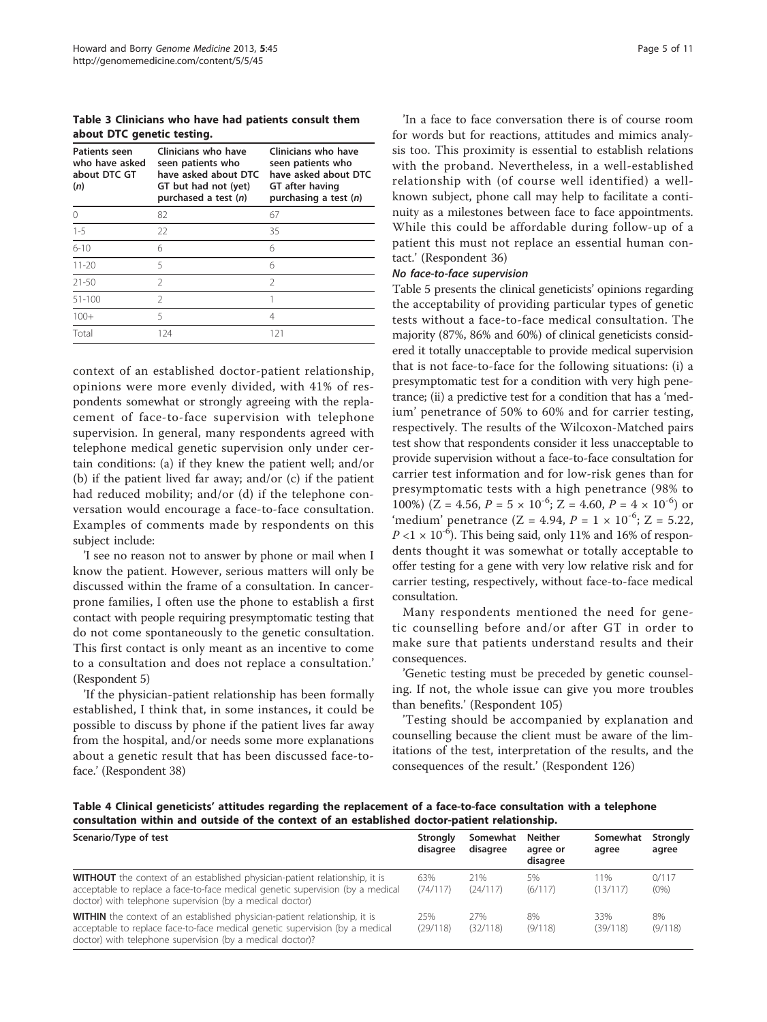<span id="page-4-0"></span>Table 3 Clinicians who have had patients consult them about DTC genetic testing.

| <b>Patients seen</b><br>who have asked<br>about DTC GT<br>(n) | Clinicians who have<br>seen patients who<br>have asked about DTC<br>GT but had not (yet)<br>purchased a test (n) | Clinicians who have<br>seen patients who<br>have asked about DTC<br>GT after having<br>purchasing a test $(n)$ |
|---------------------------------------------------------------|------------------------------------------------------------------------------------------------------------------|----------------------------------------------------------------------------------------------------------------|
| ∩                                                             | 82                                                                                                               | 67                                                                                                             |
| $1 - 5$                                                       | 22                                                                                                               | 35                                                                                                             |
| $6 - 10$                                                      | 6                                                                                                                | 6                                                                                                              |
| $11 - 20$                                                     | 5                                                                                                                | 6                                                                                                              |
| $21 - 50$                                                     | $\mathcal{P}$                                                                                                    | $\mathfrak{D}$                                                                                                 |
| $51 - 100$                                                    | $\mathcal{P}$                                                                                                    |                                                                                                                |
| $100+$                                                        | 5                                                                                                                | 4                                                                                                              |
| Total                                                         | 124                                                                                                              | 121                                                                                                            |

context of an established doctor-patient relationship, opinions were more evenly divided, with 41% of respondents somewhat or strongly agreeing with the replacement of face-to-face supervision with telephone supervision. In general, many respondents agreed with telephone medical genetic supervision only under certain conditions: (a) if they knew the patient well; and/or (b) if the patient lived far away; and/or (c) if the patient had reduced mobility; and/or (d) if the telephone conversation would encourage a face-to-face consultation. Examples of comments made by respondents on this subject include:

'I see no reason not to answer by phone or mail when I know the patient. However, serious matters will only be discussed within the frame of a consultation. In cancerprone families, I often use the phone to establish a first contact with people requiring presymptomatic testing that do not come spontaneously to the genetic consultation. This first contact is only meant as an incentive to come to a consultation and does not replace a consultation.' (Respondent 5)

'If the physician-patient relationship has been formally established, I think that, in some instances, it could be possible to discuss by phone if the patient lives far away from the hospital, and/or needs some more explanations about a genetic result that has been discussed face-toface.' (Respondent 38)

'In a face to face conversation there is of course room for words but for reactions, attitudes and mimics analysis too. This proximity is essential to establish relations with the proband. Nevertheless, in a well-established relationship with (of course well identified) a wellknown subject, phone call may help to facilitate a continuity as a milestones between face to face appointments. While this could be affordable during follow-up of a patient this must not replace an essential human contact.' (Respondent 36)

#### No face-to-face supervision

Table [5](#page-5-0) presents the clinical geneticists' opinions regarding the acceptability of providing particular types of genetic tests without a face-to-face medical consultation. The majority (87%, 86% and 60%) of clinical geneticists considered it totally unacceptable to provide medical supervision that is not face-to-face for the following situations: (i) a presymptomatic test for a condition with very high penetrance; (ii) a predictive test for a condition that has a 'medium' penetrance of 50% to 60% and for carrier testing, respectively. The results of the Wilcoxon-Matched pairs test show that respondents consider it less unacceptable to provide supervision without a face-to-face consultation for carrier test information and for low-risk genes than for presymptomatic tests with a high penetrance (98% to 100%) (Z = 4.56,  $P = 5 \times 10^{-6}$ ; Z = 4.60,  $P = 4 \times 10^{-6}$ ) or 'medium' penetrance (Z = 4.94,  $P = 1 \times 10^{-6}$ ; Z = 5.22,  $P < 1 \times 10^{-6}$ ). This being said, only 11% and 16% of respondents thought it was somewhat or totally acceptable to offer testing for a gene with very low relative risk and for carrier testing, respectively, without face-to-face medical consultation.

Many respondents mentioned the need for genetic counselling before and/or after GT in order to make sure that patients understand results and their consequences.

'Genetic testing must be preceded by genetic counseling. If not, the whole issue can give you more troubles than benefits.' (Respondent 105)

'Testing should be accompanied by explanation and counselling because the client must be aware of the limitations of the test, interpretation of the results, and the consequences of the result.' (Respondent 126)

Table 4 Clinical geneticists' attitudes regarding the replacement of a face-to-face consultation with a telephone consultation within and outside of the context of an established doctor-patient relationship.

| Scenario/Type of test                                                                                                                                                                                                            | <b>Strongly</b><br>disagree | Somewhat<br>disagree | <b>Neither</b><br>agree or<br>disagree | Somewhat<br>agree | <b>Strongly</b><br>agree |
|----------------------------------------------------------------------------------------------------------------------------------------------------------------------------------------------------------------------------------|-----------------------------|----------------------|----------------------------------------|-------------------|--------------------------|
| <b>WITHOUT</b> the context of an established physician-patient relationship, it is<br>acceptable to replace a face-to-face medical genetic supervision (by a medical<br>doctor) with telephone supervision (by a medical doctor) | 63%<br>(74/117)             | 21%<br>(24/117)      | 5%<br>(6/117)                          | 11%<br>(13/117)   | 0/117<br>$(0\%)$         |
| WITHIN the context of an established physician-patient relationship, it is<br>acceptable to replace face-to-face medical genetic supervision (by a medical<br>doctor) with telephone supervision (by a medical doctor)?          | 25%<br>(29/118)             | 27%<br>(32/118)      | 8%<br>(9/118)                          | 33%<br>(39/118)   | 8%<br>(9/118)            |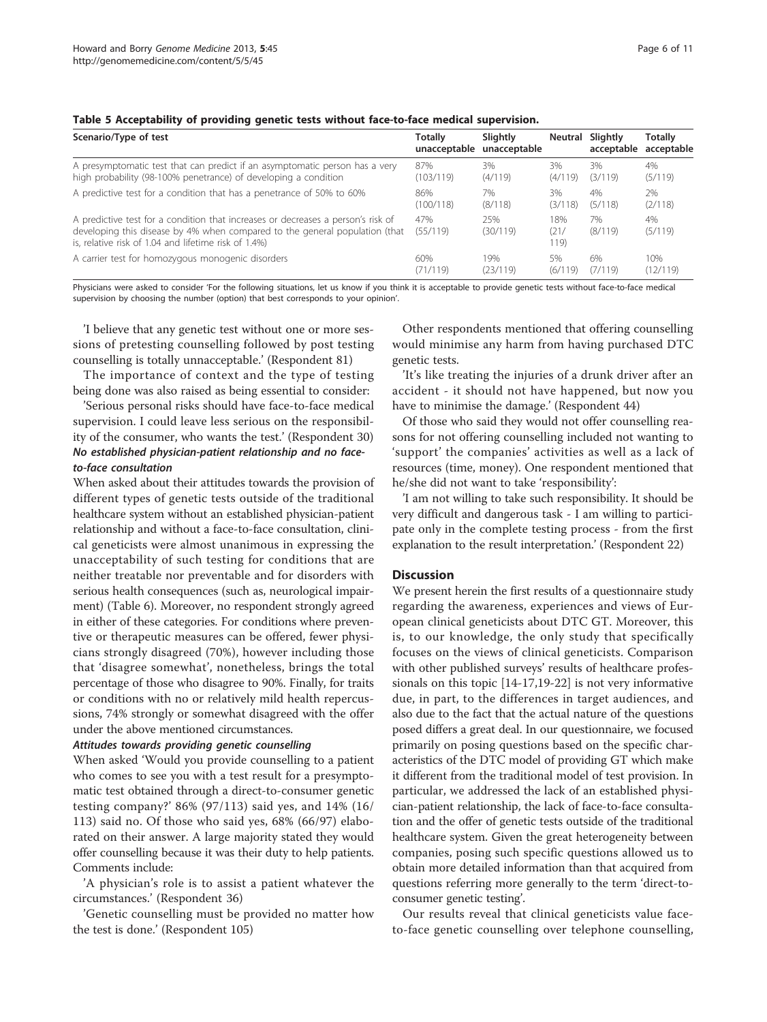| Scenario/Type of test                                                                                                                                                                                                   | Totally         | Slightly<br>unacceptable unacceptable | Neutral             | Slightly<br>acceptable | <b>Totally</b><br>acceptable |
|-------------------------------------------------------------------------------------------------------------------------------------------------------------------------------------------------------------------------|-----------------|---------------------------------------|---------------------|------------------------|------------------------------|
| A presymptomatic test that can predict if an asymptomatic person has a very                                                                                                                                             | 87%             | 3%                                    | 3%                  | 3%                     | 4%                           |
| high probability (98-100% penetrance) of developing a condition                                                                                                                                                         | (103/119)       | (4/119)                               | (4/119)             | (3/119)                | (5/119)                      |
| A predictive test for a condition that has a penetrance of 50% to 60%                                                                                                                                                   | 86%             | 7%                                    | 3%                  | 4%                     | 2%                           |
|                                                                                                                                                                                                                         | (100/118)       | (8/118)                               | (3/118)             | (5/118)                | (2/118)                      |
| A predictive test for a condition that increases or decreases a person's risk of<br>developing this disease by 4% when compared to the general population (that<br>is, relative risk of 1.04 and lifetime risk of 1.4%) | 47%<br>(55/119) | 25%<br>(30/119)                       | 18%<br>(21/<br>119) | 7%<br>(8/119)          | 4%<br>(5/119)                |
| A carrier test for homozygous monogenic disorders                                                                                                                                                                       | 60%             | 19%                                   | 5%                  | 6%                     | 10%                          |
|                                                                                                                                                                                                                         | (71/119)        | (23/119)                              | (6/119)             | (7/119)                | (12/119)                     |

#### <span id="page-5-0"></span>Table 5 Acceptability of providing genetic tests without face-to-face medical supervision.

Physicians were asked to consider 'For the following situations, let us know if you think it is acceptable to provide genetic tests without face-to-face medical supervision by choosing the number (option) that best corresponds to your opinion'.

'I believe that any genetic test without one or more sessions of pretesting counselling followed by post testing counselling is totally unnacceptable.' (Respondent 81)

The importance of context and the type of testing being done was also raised as being essential to consider:

'Serious personal risks should have face-to-face medical supervision. I could leave less serious on the responsibility of the consumer, who wants the test.' (Respondent 30) No established physician-patient relationship and no faceto-face consultation

When asked about their attitudes towards the provision of different types of genetic tests outside of the traditional healthcare system without an established physician-patient relationship and without a face-to-face consultation, clinical geneticists were almost unanimous in expressing the unacceptability of such testing for conditions that are neither treatable nor preventable and for disorders with serious health consequences (such as, neurological impairment) (Table [6\)](#page-6-0). Moreover, no respondent strongly agreed in either of these categories. For conditions where preventive or therapeutic measures can be offered, fewer physicians strongly disagreed (70%), however including those that 'disagree somewhat', nonetheless, brings the total percentage of those who disagree to 90%. Finally, for traits or conditions with no or relatively mild health repercussions, 74% strongly or somewhat disagreed with the offer under the above mentioned circumstances.

#### Attitudes towards providing genetic counselling

When asked 'Would you provide counselling to a patient who comes to see you with a test result for a presymptomatic test obtained through a direct-to-consumer genetic testing company?' 86% (97/113) said yes, and 14% (16/ 113) said no. Of those who said yes, 68% (66/97) elaborated on their answer. A large majority stated they would offer counselling because it was their duty to help patients. Comments include:

'A physician's role is to assist a patient whatever the circumstances.' (Respondent 36)

'Genetic counselling must be provided no matter how the test is done.' (Respondent 105)

Other respondents mentioned that offering counselling would minimise any harm from having purchased DTC genetic tests.

'It's like treating the injuries of a drunk driver after an accident - it should not have happened, but now you have to minimise the damage.' (Respondent 44)

Of those who said they would not offer counselling reasons for not offering counselling included not wanting to 'support' the companies' activities as well as a lack of resources (time, money). One respondent mentioned that he/she did not want to take 'responsibility':

'I am not willing to take such responsibility. It should be very difficult and dangerous task - I am willing to participate only in the complete testing process - from the first explanation to the result interpretation.' (Respondent 22)

# **Discussion**

We present herein the first results of a questionnaire study regarding the awareness, experiences and views of European clinical geneticists about DTC GT. Moreover, this is, to our knowledge, the only study that specifically focuses on the views of clinical geneticists. Comparison with other published surveys' results of healthcare professionals on this topic [\[14](#page-9-0)-[17](#page-9-0),[19](#page-9-0)-[22\]](#page-9-0) is not very informative due, in part, to the differences in target audiences, and also due to the fact that the actual nature of the questions posed differs a great deal. In our questionnaire, we focused primarily on posing questions based on the specific characteristics of the DTC model of providing GT which make it different from the traditional model of test provision. In particular, we addressed the lack of an established physician-patient relationship, the lack of face-to-face consultation and the offer of genetic tests outside of the traditional healthcare system. Given the great heterogeneity between companies, posing such specific questions allowed us to obtain more detailed information than that acquired from questions referring more generally to the term 'direct-toconsumer genetic testing'.

Our results reveal that clinical geneticists value faceto-face genetic counselling over telephone counselling,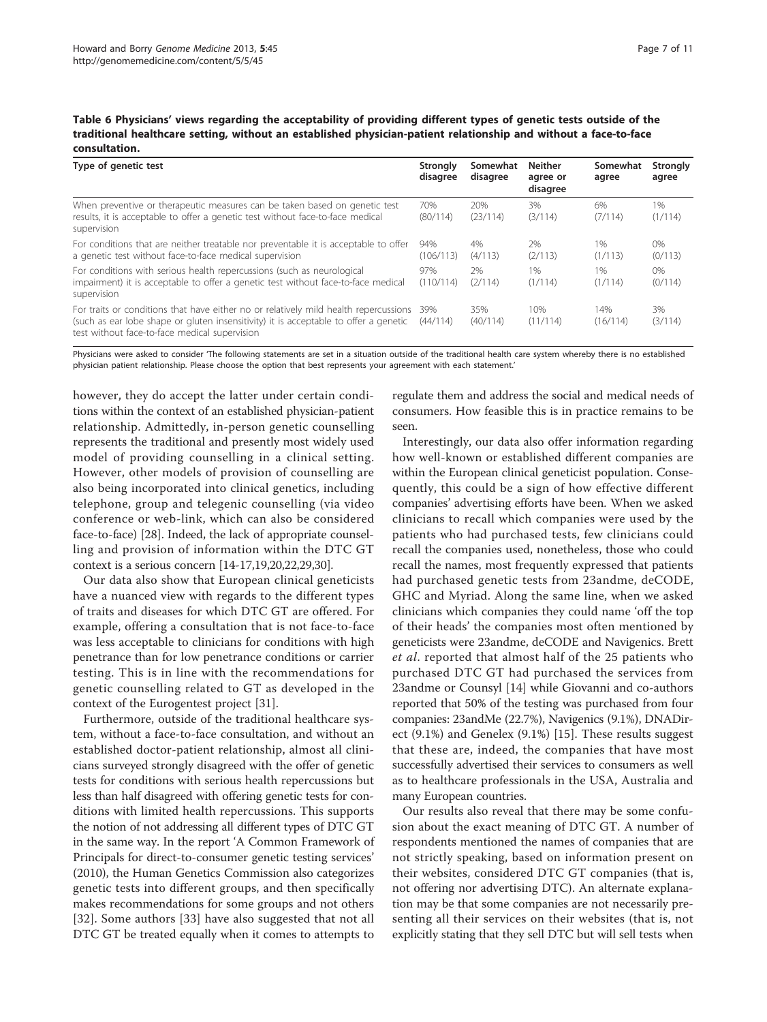<span id="page-6-0"></span>Table 6 Physicians' views regarding the acceptability of providing different types of genetic tests outside of the traditional healthcare setting, without an established physician-patient relationship and without a face-to-face consultation.

| Type of genetic test                                                                                                                                                                                                          | Strongly<br>disagree | Somewhat<br>disagree | <b>Neither</b><br>agree or<br>disagree | Somewhat<br>agree | <b>Strongly</b><br>agree |
|-------------------------------------------------------------------------------------------------------------------------------------------------------------------------------------------------------------------------------|----------------------|----------------------|----------------------------------------|-------------------|--------------------------|
| When preventive or therapeutic measures can be taken based on genetic test<br>results, it is acceptable to offer a genetic test without face-to-face medical<br>supervision                                                   | 70%<br>(80/114)      | 20%<br>(23/114)      | 3%<br>(3/114)                          | 6%<br>(7/114)     | $1\%$<br>(1/114)         |
| For conditions that are neither treatable nor preventable it is acceptable to offer<br>a genetic test without face-to-face medical supervision                                                                                | 94%<br>(106/113)     | 4%<br>(4/113)        | 2%<br>(2/113)                          | 1%<br>(1/113)     | 0%<br>(0/113)            |
| For conditions with serious health repercussions (such as neurological<br>impairment) it is acceptable to offer a genetic test without face-to-face medical<br>supervision                                                    | 97%<br>(110/114)     | 2%<br>(2/114)        | 1%<br>(1/114)                          | 1%<br>(1/114)     | $0\%$<br>(0/114)         |
| For traits or conditions that have either no or relatively mild health repercussions<br>(such as ear lobe shape or gluten insensitivity) it is acceptable to offer a genetic<br>test without face-to-face medical supervision | 39%<br>(44/114)      | 35%<br>(40/114)      | 10%<br>(11/114)                        | 14%<br>(16/114)   | 3%<br>(3/114)            |

Physicians were asked to consider 'The following statements are set in a situation outside of the traditional health care system whereby there is no established physician patient relationship. Please choose the option that best represents your agreement with each statement.'

however, they do accept the latter under certain conditions within the context of an established physician-patient relationship. Admittedly, in-person genetic counselling represents the traditional and presently most widely used model of providing counselling in a clinical setting. However, other models of provision of counselling are also being incorporated into clinical genetics, including telephone, group and telegenic counselling (via video conference or web-link, which can also be considered face-to-face) [\[28](#page-10-0)]. Indeed, the lack of appropriate counselling and provision of information within the DTC GT context is a serious concern [\[14-17,19,20,22,](#page-9-0)[29,30\]](#page-10-0).

Our data also show that European clinical geneticists have a nuanced view with regards to the different types of traits and diseases for which DTC GT are offered. For example, offering a consultation that is not face-to-face was less acceptable to clinicians for conditions with high penetrance than for low penetrance conditions or carrier testing. This is in line with the recommendations for genetic counselling related to GT as developed in the context of the Eurogentest project [\[31](#page-10-0)].

Furthermore, outside of the traditional healthcare system, without a face-to-face consultation, and without an established doctor-patient relationship, almost all clinicians surveyed strongly disagreed with the offer of genetic tests for conditions with serious health repercussions but less than half disagreed with offering genetic tests for conditions with limited health repercussions. This supports the notion of not addressing all different types of DTC GT in the same way. In the report 'A Common Framework of Principals for direct-to-consumer genetic testing services' (2010), the Human Genetics Commission also categorizes genetic tests into different groups, and then specifically makes recommendations for some groups and not others [[32](#page-10-0)]. Some authors [[33\]](#page-10-0) have also suggested that not all DTC GT be treated equally when it comes to attempts to regulate them and address the social and medical needs of consumers. How feasible this is in practice remains to be seen.

Interestingly, our data also offer information regarding how well-known or established different companies are within the European clinical geneticist population. Consequently, this could be a sign of how effective different companies' advertising efforts have been. When we asked clinicians to recall which companies were used by the patients who had purchased tests, few clinicians could recall the companies used, nonetheless, those who could recall the names, most frequently expressed that patients had purchased genetic tests from 23andme, deCODE, GHC and Myriad. Along the same line, when we asked clinicians which companies they could name 'off the top of their heads' the companies most often mentioned by geneticists were 23andme, deCODE and Navigenics. Brett et al. reported that almost half of the 25 patients who purchased DTC GT had purchased the services from 23andme or Counsyl [\[14\]](#page-9-0) while Giovanni and co-authors reported that 50% of the testing was purchased from four companies: 23andMe (22.7%), Navigenics (9.1%), DNADirect (9.1%) and Genelex (9.1%) [\[15](#page-9-0)]. These results suggest that these are, indeed, the companies that have most successfully advertised their services to consumers as well as to healthcare professionals in the USA, Australia and many European countries.

Our results also reveal that there may be some confusion about the exact meaning of DTC GT. A number of respondents mentioned the names of companies that are not strictly speaking, based on information present on their websites, considered DTC GT companies (that is, not offering nor advertising DTC). An alternate explanation may be that some companies are not necessarily presenting all their services on their websites (that is, not explicitly stating that they sell DTC but will sell tests when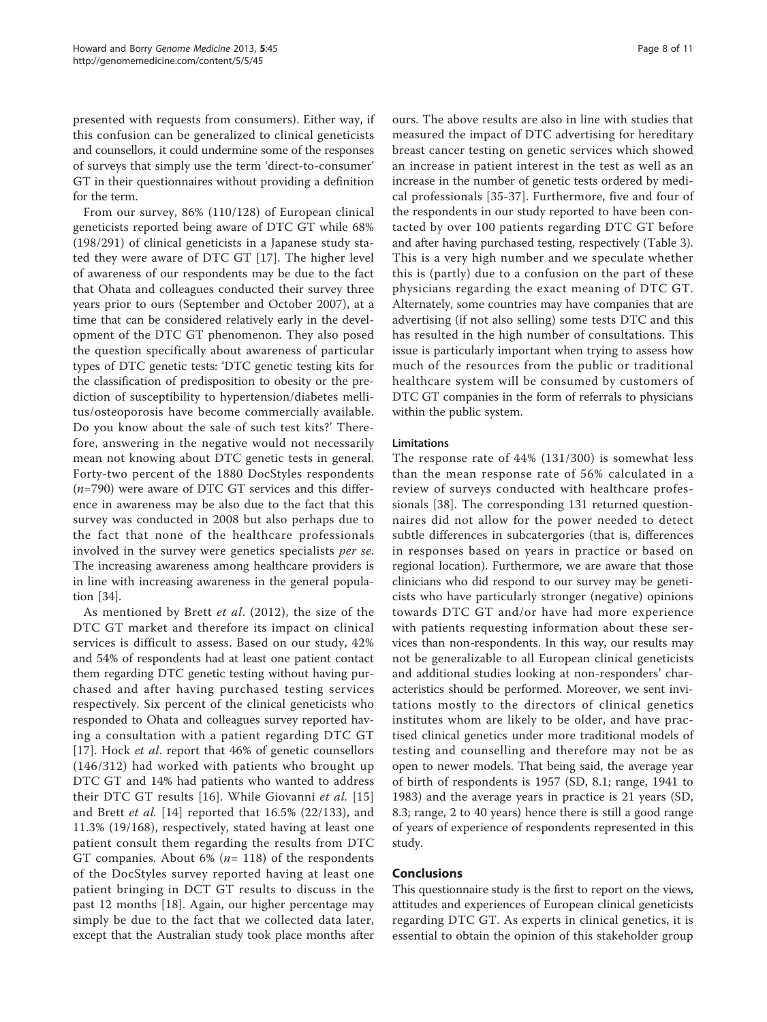presented with requests from consumers). Either way, if this confusion can be generalized to clinical geneticists and counsellors, it could undermine some of the responses of surveys that simply use the term 'direct-to-consumer' GT in their questionnaires without providing a definition for the term.

From our survey, 86% (110/128) of European clinical geneticists reported being aware of DTC GT while 68% (198/291) of clinical geneticists in a Japanese study stated they were aware of DTC GT [\[17](#page-9-0)]. The higher level of awareness of our respondents may be due to the fact that Ohata and colleagues conducted their survey three years prior to ours (September and October 2007), at a time that can be considered relatively early in the development of the DTC GT phenomenon. They also posed the question specifically about awareness of particular types of DTC genetic tests: 'DTC genetic testing kits for the classification of predisposition to obesity or the prediction of susceptibility to hypertension/diabetes mellitus/osteoporosis have become commercially available. Do you know about the sale of such test kits?' Therefore, answering in the negative would not necessarily mean not knowing about DTC genetic tests in general. Forty-two percent of the 1880 DocStyles respondents  $(n=790)$  were aware of DTC GT services and this difference in awareness may be also due to the fact that this survey was conducted in 2008 but also perhaps due to the fact that none of the healthcare professionals involved in the survey were genetics specialists per se. The increasing awareness among healthcare providers is in line with increasing awareness in the general population [\[34](#page-10-0)].

As mentioned by Brett et al. (2012), the size of the DTC GT market and therefore its impact on clinical services is difficult to assess. Based on our study, 42% and 54% of respondents had at least one patient contact them regarding DTC genetic testing without having purchased and after having purchased testing services respectively. Six percent of the clinical geneticists who responded to Ohata and colleagues survey reported having a consultation with a patient regarding DTC GT [[17\]](#page-9-0). Hock *et al.* report that 46% of genetic counsellors (146/312) had worked with patients who brought up DTC GT and 14% had patients who wanted to address their DTC GT results [\[16\]](#page-9-0). While Giovanni et al. [[15](#page-9-0)] and Brett et al.  $[14]$  $[14]$  reported that 16.5% (22/133), and 11.3% (19/168), respectively, stated having at least one patient consult them regarding the results from DTC GT companies. About 6% ( $n=118$ ) of the respondents of the DocStyles survey reported having at least one patient bringing in DCT GT results to discuss in the past 12 months [\[18](#page-9-0)]. Again, our higher percentage may simply be due to the fact that we collected data later, except that the Australian study took place months after ours. The above results are also in line with studies that measured the impact of DTC advertising for hereditary breast cancer testing on genetic services which showed an increase in patient interest in the test as well as an increase in the number of genetic tests ordered by medical professionals [[35](#page-10-0)-[37](#page-10-0)]. Furthermore, five and four of the respondents in our study reported to have been contacted by over 100 patients regarding DTC GT before and after having purchased testing, respectively (Table [3](#page-4-0)). This is a very high number and we speculate whether this is (partly) due to a confusion on the part of these physicians regarding the exact meaning of DTC GT. Alternately, some countries may have companies that are advertising (if not also selling) some tests DTC and this has resulted in the high number of consultations. This issue is particularly important when trying to assess how much of the resources from the public or traditional healthcare system will be consumed by customers of DTC GT companies in the form of referrals to physicians within the public system.

#### Limitations

The response rate of 44% (131/300) is somewhat less than the mean response rate of 56% calculated in a review of surveys conducted with healthcare professionals [[38\]](#page-10-0). The corresponding 131 returned questionnaires did not allow for the power needed to detect subtle differences in subcatergories (that is, differences in responses based on years in practice or based on regional location). Furthermore, we are aware that those clinicians who did respond to our survey may be geneticists who have particularly stronger (negative) opinions towards DTC GT and/or have had more experience with patients requesting information about these services than non-respondents. In this way, our results may not be generalizable to all European clinical geneticists and additional studies looking at non-responders' characteristics should be performed. Moreover, we sent invitations mostly to the directors of clinical genetics institutes whom are likely to be older, and have practised clinical genetics under more traditional models of testing and counselling and therefore may not be as open to newer models. That being said, the average year of birth of respondents is 1957 (SD, 8.1; range, 1941 to 1983) and the average years in practice is 21 years (SD, 8.3; range, 2 to 40 years) hence there is still a good range of years of experience of respondents represented in this study.

# Conclusions

This questionnaire study is the first to report on the views, attitudes and experiences of European clinical geneticists regarding DTC GT. As experts in clinical genetics, it is essential to obtain the opinion of this stakeholder group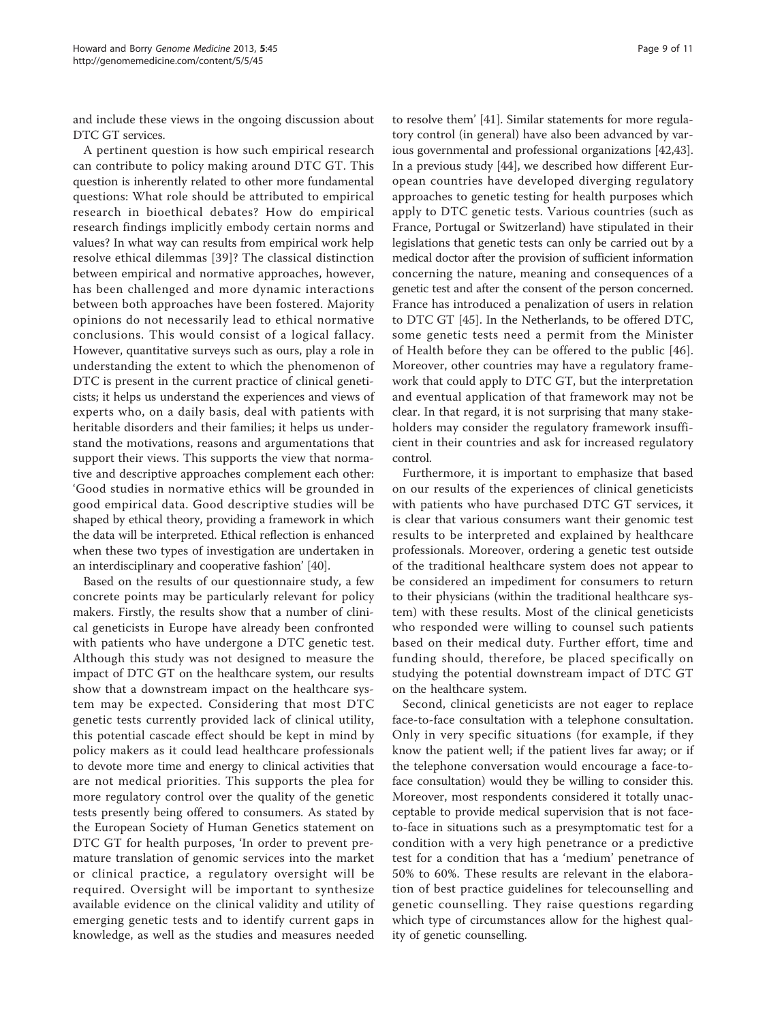and include these views in the ongoing discussion about DTC GT services.

A pertinent question is how such empirical research can contribute to policy making around DTC GT. This question is inherently related to other more fundamental questions: What role should be attributed to empirical research in bioethical debates? How do empirical research findings implicitly embody certain norms and values? In what way can results from empirical work help resolve ethical dilemmas [[39\]](#page-10-0)? The classical distinction between empirical and normative approaches, however, has been challenged and more dynamic interactions between both approaches have been fostered. Majority opinions do not necessarily lead to ethical normative conclusions. This would consist of a logical fallacy. However, quantitative surveys such as ours, play a role in understanding the extent to which the phenomenon of DTC is present in the current practice of clinical geneticists; it helps us understand the experiences and views of experts who, on a daily basis, deal with patients with heritable disorders and their families; it helps us understand the motivations, reasons and argumentations that support their views. This supports the view that normative and descriptive approaches complement each other: 'Good studies in normative ethics will be grounded in good empirical data. Good descriptive studies will be shaped by ethical theory, providing a framework in which the data will be interpreted. Ethical reflection is enhanced when these two types of investigation are undertaken in an interdisciplinary and cooperative fashion' [[40](#page-10-0)].

Based on the results of our questionnaire study, a few concrete points may be particularly relevant for policy makers. Firstly, the results show that a number of clinical geneticists in Europe have already been confronted with patients who have undergone a DTC genetic test. Although this study was not designed to measure the impact of DTC GT on the healthcare system, our results show that a downstream impact on the healthcare system may be expected. Considering that most DTC genetic tests currently provided lack of clinical utility, this potential cascade effect should be kept in mind by policy makers as it could lead healthcare professionals to devote more time and energy to clinical activities that are not medical priorities. This supports the plea for more regulatory control over the quality of the genetic tests presently being offered to consumers. As stated by the European Society of Human Genetics statement on DTC GT for health purposes, 'In order to prevent premature translation of genomic services into the market or clinical practice, a regulatory oversight will be required. Oversight will be important to synthesize available evidence on the clinical validity and utility of emerging genetic tests and to identify current gaps in knowledge, as well as the studies and measures needed

to resolve them' [[41\]](#page-10-0). Similar statements for more regulatory control (in general) have also been advanced by various governmental and professional organizations [[42](#page-10-0),[43](#page-10-0)]. In a previous study [[44\]](#page-10-0), we described how different European countries have developed diverging regulatory approaches to genetic testing for health purposes which apply to DTC genetic tests. Various countries (such as France, Portugal or Switzerland) have stipulated in their legislations that genetic tests can only be carried out by a medical doctor after the provision of sufficient information concerning the nature, meaning and consequences of a genetic test and after the consent of the person concerned. France has introduced a penalization of users in relation to DTC GT [\[45](#page-10-0)]. In the Netherlands, to be offered DTC, some genetic tests need a permit from the Minister of Health before they can be offered to the public [[46](#page-10-0)]. Moreover, other countries may have a regulatory framework that could apply to DTC GT, but the interpretation and eventual application of that framework may not be clear. In that regard, it is not surprising that many stakeholders may consider the regulatory framework insufficient in their countries and ask for increased regulatory

Furthermore, it is important to emphasize that based on our results of the experiences of clinical geneticists with patients who have purchased DTC GT services, it is clear that various consumers want their genomic test results to be interpreted and explained by healthcare professionals. Moreover, ordering a genetic test outside of the traditional healthcare system does not appear to be considered an impediment for consumers to return to their physicians (within the traditional healthcare system) with these results. Most of the clinical geneticists who responded were willing to counsel such patients based on their medical duty. Further effort, time and funding should, therefore, be placed specifically on studying the potential downstream impact of DTC GT on the healthcare system.

control.

Second, clinical geneticists are not eager to replace face-to-face consultation with a telephone consultation. Only in very specific situations (for example, if they know the patient well; if the patient lives far away; or if the telephone conversation would encourage a face-toface consultation) would they be willing to consider this. Moreover, most respondents considered it totally unacceptable to provide medical supervision that is not faceto-face in situations such as a presymptomatic test for a condition with a very high penetrance or a predictive test for a condition that has a 'medium' penetrance of 50% to 60%. These results are relevant in the elaboration of best practice guidelines for telecounselling and genetic counselling. They raise questions regarding which type of circumstances allow for the highest quality of genetic counselling.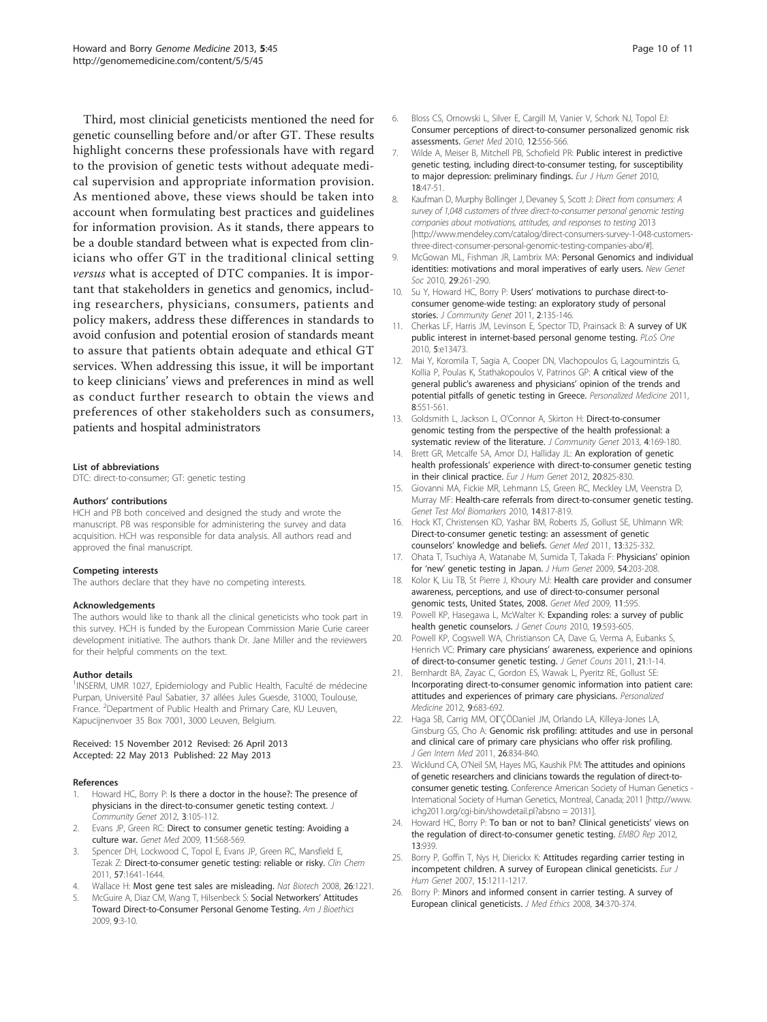<span id="page-9-0"></span>Third, most clinicial geneticists mentioned the need for genetic counselling before and/or after GT. These results highlight concerns these professionals have with regard to the provision of genetic tests without adequate medical supervision and appropriate information provision. As mentioned above, these views should be taken into account when formulating best practices and guidelines for information provision. As it stands, there appears to be a double standard between what is expected from clinicians who offer GT in the traditional clinical setting versus what is accepted of DTC companies. It is important that stakeholders in genetics and genomics, including researchers, physicians, consumers, patients and policy makers, address these differences in standards to avoid confusion and potential erosion of standards meant to assure that patients obtain adequate and ethical GT services. When addressing this issue, it will be important to keep clinicians' views and preferences in mind as well as conduct further research to obtain the views and preferences of other stakeholders such as consumers, patients and hospital administrators

#### List of abbreviations

DTC: direct-to-consumer; GT: genetic testing

#### Authors' contributions

HCH and PB both conceived and designed the study and wrote the manuscript. PB was responsible for administering the survey and data acquisition. HCH was responsible for data analysis. All authors read and approved the final manuscript.

#### Competing interests

The authors declare that they have no competing interests.

#### Acknowledgements

The authors would like to thank all the clinical geneticists who took part in this survey. HCH is funded by the European Commission Marie Curie career development initiative. The authors thank Dr. Jane Miller and the reviewers for their helpful comments on the text.

#### Author details

<sup>1</sup>INSERM, UMR 1027, Epidemiology and Public Health, Faculté de médecine Purpan, Université Paul Sabatier, 37 allées Jules Guesde, 31000, Toulouse, France. <sup>2</sup>Department of Public Health and Primary Care, KU Leuven, Kapucijnenvoer 35 Box 7001, 3000 Leuven, Belgium.

#### Received: 15 November 2012 Revised: 26 April 2013 Accepted: 22 May 2013 Published: 22 May 2013

#### References

- 1. Howard HC, Borry P: [Is there a doctor in the house?: The presence of](http://www.ncbi.nlm.nih.gov/pubmed/22109907?dopt=Abstract) [physicians in the direct-to-consumer genetic testing context.](http://www.ncbi.nlm.nih.gov/pubmed/22109907?dopt=Abstract) J Community Genet 2012, 3:105-112.
- 2. Evans JP, Green RC: [Direct to consumer genetic testing: Avoiding a](http://www.ncbi.nlm.nih.gov/pubmed/19606051?dopt=Abstract) [culture war.](http://www.ncbi.nlm.nih.gov/pubmed/19606051?dopt=Abstract) Genet Med 2009, 11:568-569.
- Spencer DH, Lockwood C, Topol E, Evans JP, Green RC, Mansfield E, Tezak Z: [Direct-to-consumer genetic testing: reliable or risky.](http://www.ncbi.nlm.nih.gov/pubmed/21885623?dopt=Abstract) Clin Chem 2011, 57:1641-1644.
- 4. Wallace H: Most gene test sales are misleading. Nat Biotech 2008, 26:1221.
- McGuire A, Diaz CM, Wang T, Hilsenbeck S: Social Networkers' Attitudes Toward Direct-to-Consumer Personal Genome Testing. Am J Bioethics 2009, 9:3-10.
- 6. Bloss CS, Ornowski L, Silver E, Cargill M, Vanier V, Schork NJ, Topol EJ: [Consumer perceptions of direct-to-consumer personalized genomic risk](http://www.ncbi.nlm.nih.gov/pubmed/20717041?dopt=Abstract) [assessments.](http://www.ncbi.nlm.nih.gov/pubmed/20717041?dopt=Abstract) Genet Med 2010, 12:556-566.
- 7. Wilde A, Meiser B, Mitchell PB, Schofield PR: [Public interest in predictive](http://www.ncbi.nlm.nih.gov/pubmed/19690586?dopt=Abstract) [genetic testing, including direct-to-consumer testing, for susceptibility](http://www.ncbi.nlm.nih.gov/pubmed/19690586?dopt=Abstract) [to major depression: preliminary findings.](http://www.ncbi.nlm.nih.gov/pubmed/19690586?dopt=Abstract) Eur J Hum Genet 2010, 18:47-51.
- 8. Kaufman D, Murphy Bollinger J, Devaney S, Scott J: Direct from consumers: A survey of 1,048 customers of three direct-to-consumer personal genomic testing companies about motivations, attitudes, and responses to testing 2013 [\[http://www.mendeley.com/catalog/direct-consumers-survey-1-048-customers](http://�www.mendeley.com/catalog/direct-consumers-survey-1-048-customers-three-direct-consumer-personal-genomic-testing-companies-abo/#)[three-direct-consumer-personal-genomic-testing-companies-abo/#\]](http://�www.mendeley.com/catalog/direct-consumers-survey-1-048-customers-three-direct-consumer-personal-genomic-testing-companies-abo/#).
- 9. McGowan ML, Fishman JR, Lambrix MA: [Personal Genomics and individual](http://www.ncbi.nlm.nih.gov/pubmed/21076647?dopt=Abstract) [identities: motivations and moral imperatives of early users.](http://www.ncbi.nlm.nih.gov/pubmed/21076647?dopt=Abstract) New Genet Soc 2010, 29:261-290.
- 10. Su Y, Howard HC, Borry P: Users' [motivations to purchase direct-to](http://www.ncbi.nlm.nih.gov/pubmed/22109820?dopt=Abstract)[consumer genome-wide testing: an exploratory study of personal](http://www.ncbi.nlm.nih.gov/pubmed/22109820?dopt=Abstract) [stories.](http://www.ncbi.nlm.nih.gov/pubmed/22109820?dopt=Abstract) J Community Genet 2011, 2:135-146.
- 11. Cherkas LF, Harris JM, Levinson E, Spector TD, Prainsack B: [A survey of UK](http://www.ncbi.nlm.nih.gov/pubmed/20976053?dopt=Abstract) [public interest in internet-based personal genome testing.](http://www.ncbi.nlm.nih.gov/pubmed/20976053?dopt=Abstract) PLoS One 2010, 5:e13473.
- 12. Mai Y, Koromila T, Sagia A, Cooper DN, Vlachopoulos G, Lagoumintzis G, Kollia P, Poulas K, Stathakopoulos V, Patrinos GP: A critical view of the general public's awareness and physicians' opinion of the trends and potential pitfalls of genetic testing in Greece. Personalized Medicine 2011, 8:551-561.
- 13. Goldsmith L, Jackson L, O'Connor A, Skirton H: [Direct-to-consumer](http://www.ncbi.nlm.nih.gov/pubmed/23322235?dopt=Abstract) [genomic testing from the perspective of the health professional: a](http://www.ncbi.nlm.nih.gov/pubmed/23322235?dopt=Abstract) [systematic review of the literature.](http://www.ncbi.nlm.nih.gov/pubmed/23322235?dopt=Abstract) J Community Genet 2013, 4:169-180.
- 14. Brett GR, Metcalfe SA, Amor DJ, Halliday JL: [An exploration of genetic](http://www.ncbi.nlm.nih.gov/pubmed/22317975?dopt=Abstract) health professionals' [experience with direct-to-consumer genetic testing](http://www.ncbi.nlm.nih.gov/pubmed/22317975?dopt=Abstract) [in their clinical practice.](http://www.ncbi.nlm.nih.gov/pubmed/22317975?dopt=Abstract) Eur J Hum Genet 2012, 20:825-830.
- 15. Giovanni MA, Fickie MR, Lehmann LS, Green RC, Meckley LM, Veenstra D, Murray MF: [Health-care referrals from direct-to-consumer genetic testing.](http://www.ncbi.nlm.nih.gov/pubmed/20979566?dopt=Abstract) Genet Test Mol Biomarkers 2010, 14:817-819.
- 16. Hock KT, Christensen KD, Yashar BM, Roberts JS, Gollust SE, Uhlmann WR: [Direct-to-consumer genetic testing: an assessment of genetic](http://www.ncbi.nlm.nih.gov/pubmed/21233722?dopt=Abstract) counselors' [knowledge and beliefs.](http://www.ncbi.nlm.nih.gov/pubmed/21233722?dopt=Abstract) Genet Med 2011, 13:325-332.
- 17. Ohata T, Tsuchiya A, Watanabe M, Sumida T, Takada F: [Physicians](http://www.ncbi.nlm.nih.gov/pubmed/19300458?dopt=Abstract)' opinion for 'new' [genetic testing in Japan.](http://www.ncbi.nlm.nih.gov/pubmed/19300458?dopt=Abstract) J Hum Genet 2009, 54:203-208.
- 18. Kolor K, Liu TB, St Pierre J, Khoury MJ: [Health care provider and consumer](http://www.ncbi.nlm.nih.gov/pubmed/19680046?dopt=Abstract) [awareness, perceptions, and use of direct-to-consumer personal](http://www.ncbi.nlm.nih.gov/pubmed/19680046?dopt=Abstract) [genomic tests, United States, 2008.](http://www.ncbi.nlm.nih.gov/pubmed/19680046?dopt=Abstract) Genet Med 2009, 11:595.
- 19. Powell KP, Hasegawa L, McWalter K: [Expanding roles: a survey of public](http://www.ncbi.nlm.nih.gov/pubmed/20700635?dopt=Abstract) [health genetic counselors.](http://www.ncbi.nlm.nih.gov/pubmed/20700635?dopt=Abstract) J Genet Couns 2010, 19:593-605.
- 20. Powell KP, Cogswell WA, Christianson CA, Dave G, Verma A, Eubanks S, Henrich VC: Primary care physicians' [awareness, experience and opinions](http://www.ncbi.nlm.nih.gov/pubmed/22207396?dopt=Abstract) [of direct-to-consumer genetic testing.](http://www.ncbi.nlm.nih.gov/pubmed/22207396?dopt=Abstract) J Genet Couns 2011, 21:1-14.
- 21. Bernhardt BA, Zayac C, Gordon ES, Wawak L, Pyeritz RE, Gollust SE: Incorporating direct-to-consumer genomic information into patient care: attitudes and experiences of primary care physicians. Personalized Medicine 2012, 9:683-692.
- 22. Haga SB, Carrig MM, OΓÇÖDaniel JM, Orlando LA, Killeya-Jones LA, Ginsburg GS, Cho A: [Genomic risk profiling: attitudes and use in personal](http://www.ncbi.nlm.nih.gov/pubmed/21311998?dopt=Abstract) [and clinical care of primary care physicians who offer risk profiling.](http://www.ncbi.nlm.nih.gov/pubmed/21311998?dopt=Abstract) J Gen Intern Med 2011, 26:834-840.
- 23. Wicklund CA, O'Neil SM, Hayes MG, Kaushik PM: The attitudes and opinions of genetic researchers and clinicians towards the regulation of direct-toconsumer genetic testing. Conference American Society of Human Genetics - International Society of Human Genetics, Montreal, Canada; 2011 [\[http://www.](http://www.ichg2011.org/cgi-bin/showdetail.pl?absno = 20131) [ichg2011.org/cgi-bin/showdetail.pl?absno = 20131\]](http://www.ichg2011.org/cgi-bin/showdetail.pl?absno = 20131).
- 24. Howard HC, Borry P: To ban or not to ban? Clinical geneticists' views on the regulation of direct-to-consumer genetic testing. EMBO Rep 2012, 13:939.
- 25. Borry P, Goffin T, Nys H, Dierickx K: [Attitudes regarding carrier testing in](http://www.ncbi.nlm.nih.gov/pubmed/17712355?dopt=Abstract) [incompetent children. A survey of European clinical geneticists.](http://www.ncbi.nlm.nih.gov/pubmed/17712355?dopt=Abstract) Eur J Hum Genet 2007, 15:1211-1217.
- 26. Borry P: [Minors and informed consent in carrier testing. A survey of](http://www.ncbi.nlm.nih.gov/pubmed/18448719?dopt=Abstract) [European clinical geneticists.](http://www.ncbi.nlm.nih.gov/pubmed/18448719?dopt=Abstract) J Med Ethics 2008, 34:370-374.